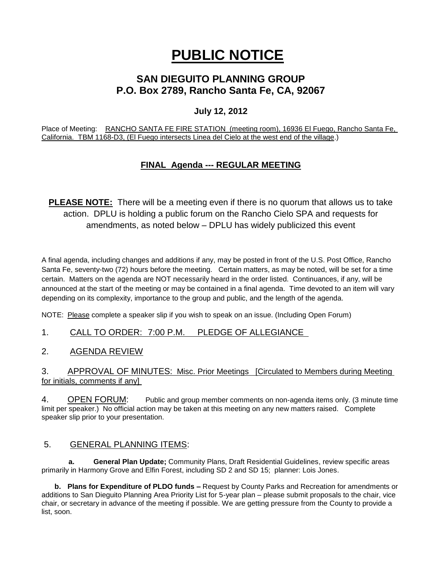# **PUBLIC NOTICE**

# **SAN DIEGUITO PLANNING GROUP P.O. Box 2789, Rancho Santa Fe, CA, 92067**

## **July 12, 2012**

Place of Meeting: RANCHO SANTA FE FIRE STATION (meeting room), 16936 El Fuego, Rancho Santa Fe, California. TBM 1168-D3, (El Fuego intersects Linea del Cielo at the west end of the village.)

## **FINAL Agenda --- REGULAR MEETING**

**PLEASE NOTE:** There will be a meeting even if there is no quorum that allows us to take action. DPLU is holding a public forum on the Rancho Cielo SPA and requests for amendments, as noted below – DPLU has widely publicized this event

A final agenda, including changes and additions if any, may be posted in front of the U.S. Post Office, Rancho Santa Fe, seventy-two (72) hours before the meeting. Certain matters, as may be noted, will be set for a time certain. Matters on the agenda are NOT necessarily heard in the order listed. Continuances, if any, will be announced at the start of the meeting or may be contained in a final agenda. Time devoted to an item will vary depending on its complexity, importance to the group and public, and the length of the agenda.

NOTE: Please complete a speaker slip if you wish to speak on an issue. (Including Open Forum)

1. CALL TO ORDER: 7:00 P.M. PLEDGE OF ALLEGIANCE

2. AGENDA REVIEW

3. APPROVAL OF MINUTES: Misc. Prior Meetings [Circulated to Members during Meeting for initials, comments if any]

4. OPEN FORUM: Public and group member comments on non-agenda items only. (3 minute time limit per speaker.) No official action may be taken at this meeting on any new matters raised. Complete speaker slip prior to your presentation.

## 5. GENERAL PLANNING ITEMS:

 **a. General Plan Update;** Community Plans, Draft Residential Guidelines, review specific areas primarily in Harmony Grove and Elfin Forest, including SD 2 and SD 15; planner: Lois Jones.

**b. Plans for Expenditure of PLDO funds –** Request by County Parks and Recreation for amendments or additions to San Dieguito Planning Area Priority List for 5-year plan – please submit proposals to the chair, vice chair, or secretary in advance of the meeting if possible. We are getting pressure from the County to provide a list, soon.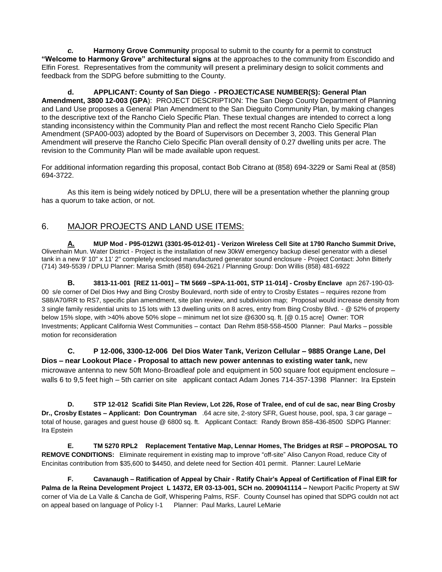*c.* **Harmony Grove Community** proposal to submit to the county for a permit to construct **"Welcome to Harmony Grove" architectural signs** at the approaches to the community from Escondido and Elfin Forest. Representatives from the community will present a preliminary design to solicit comments and feedback from the SDPG before submitting to the County.

**d. APPLICANT: County of San Diego - PROJECT/CASE NUMBER(S): General Plan Amendment, 3800 12-003 (GPA**): PROJECT DESCRIPTION: The San Diego County Department of Planning and Land Use proposes a General Plan Amendment to the San Dieguito Community Plan, by making changes to the descriptive text of the Rancho Cielo Specific Plan. These textual changes are intended to correct a long standing inconsistency within the Community Plan and reflect the most recent Rancho Cielo Specific Plan Amendment (SPA00-003) adopted by the Board of Supervisors on December 3, 2003. This General Plan Amendment will preserve the Rancho Cielo Specific Plan overall density of 0.27 dwelling units per acre. The revision to the Community Plan will be made available upon request.

For additional information regarding this proposal, contact Bob Citrano at (858) 694-3229 or Sami Real at (858) 694-3722.

As this item is being widely noticed by DPLU, there will be a presentation whether the planning group has a quorum to take action, or not.

## 6. MAJOR PROJECTS AND LAND USE ITEMS:

**A. MUP Mod - P95-012W1 (3301-95-012-01) - Verizon Wireless Cell Site at 1790 Rancho Summit Drive,**  Olivenhain Mun. Water District - Project is the installation of new 30kW emergency backup diesel generator with a diesel tank in a new 9' 10" x 11' 2" completely enclosed manufactured generator sound enclosure - Project Contact: John Bitterly (714) 349-5539 / DPLU Planner: Marisa Smith (858) 694-2621 / Planning Group: Don Willis (858) 481-6922

**B. 3813-11-001 [REZ 11-001] – TM 5669 –SPA-11-001, STP 11-014] - Crosby Enclave** apn 267-190-03- 00 s/e corner of Del Dios Hwy and Bing Crosby Boulevard, north side of entry to Crosby Estates – requires rezone from S88/A70/RR to RS7, specific plan amendment, site plan review, and subdivision map; Proposal would increase density from 3 single family residential units to 15 lots with 13 dwelling units on 8 acres, entry from Bing Crosby Blvd. - @ 52% of property below 15% slope, with >40% above 50% slope – minimum net lot size @6300 sq. ft. [@ 0.15 acre] Owner: TOR Investments; Applicant California West Communities – contact Dan Rehm 858-558-4500 Planner: Paul Marks – possible motion for reconsideration

**C. P 12-006, 3300-12-006 Del Dios Water Tank, Verizon Cellular – 9885 Orange Lane, Del Dios – near Lookout Place - Proposal to attach new power antennas to existing water tank,** new microwave antenna to new 50ft Mono-Broadleaf pole and equipment in 500 square foot equipment enclosure – walls 6 to 9,5 feet high – 5th carrier on site applicant contact Adam Jones 714-357-1398 Planner: Ira Epstein

**D. STP 12-012 Scafidi Site Plan Review, Lot 226, Rose of Tralee, end of cul de sac, near Bing Crosby Dr., Crosby Estates – Applicant: Don Countryman** .64 acre site, 2-story SFR, Guest house, pool, spa, 3 car garage – total of house, garages and guest house @ 6800 sq. ft. Applicant Contact: Randy Brown 858-436-8500 SDPG Planner: Ira Epstein

**E. TM 5270 RPL2 Replacement Tentative Map, Lennar Homes, The Bridges at RSF – PROPOSAL TO REMOVE CONDITIONS:** Eliminate requirement in existing map to improve "off-site" Aliso Canyon Road, reduce City of Encinitas contribution from \$35,600 to \$4450, and delete need for Section 401 permit. Planner: Laurel LeMarie

**F. Cavanaugh – Ratification of Appeal by Chair - Ratify Chair's Appeal of Certification of Final EIR for Palma de la Reina Development Project L 14372, ER 03-13-001, SCH no. 2009041114 –** Newport Pacific Property at SW corner of Via de La Valle & Cancha de Golf, Whispering Palms, RSF. County Counsel has opined that SDPG couldn not act on appeal based on language of Policy I-1 Planner: Paul Marks, Laurel LeMarie